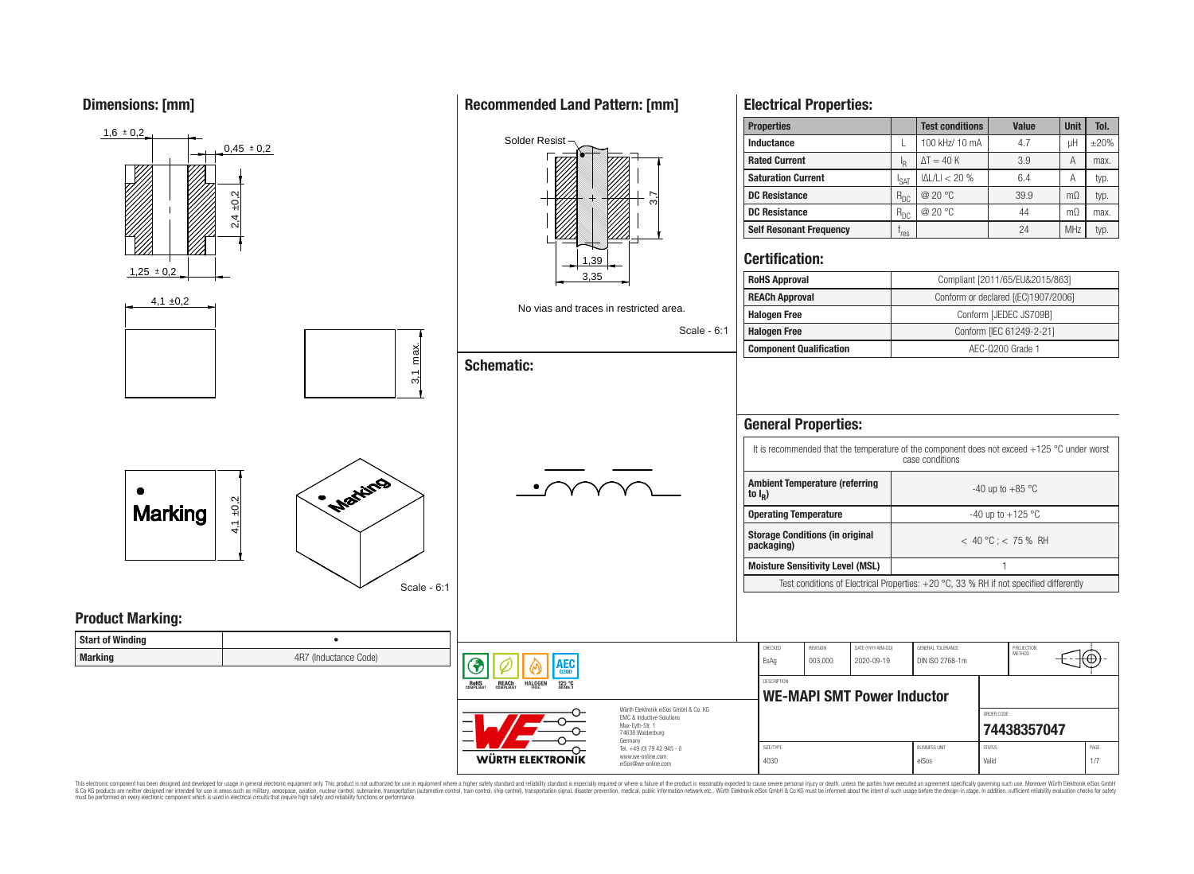**Dimensions: [mm]**



This electronic component has been designed and developed for usage in general electronic equipment only. This product is not authorized for use in equipment where a higher safety standard and reliability standard is espec & Ook product a label and the membed of the seasuch as marked and as which such a membed and the such assume that income in the seasuch and the simulation and the such assume that include to the such a membed and the such

# **Recommended Land Pattern: [mm]**

**Electrical Properties:**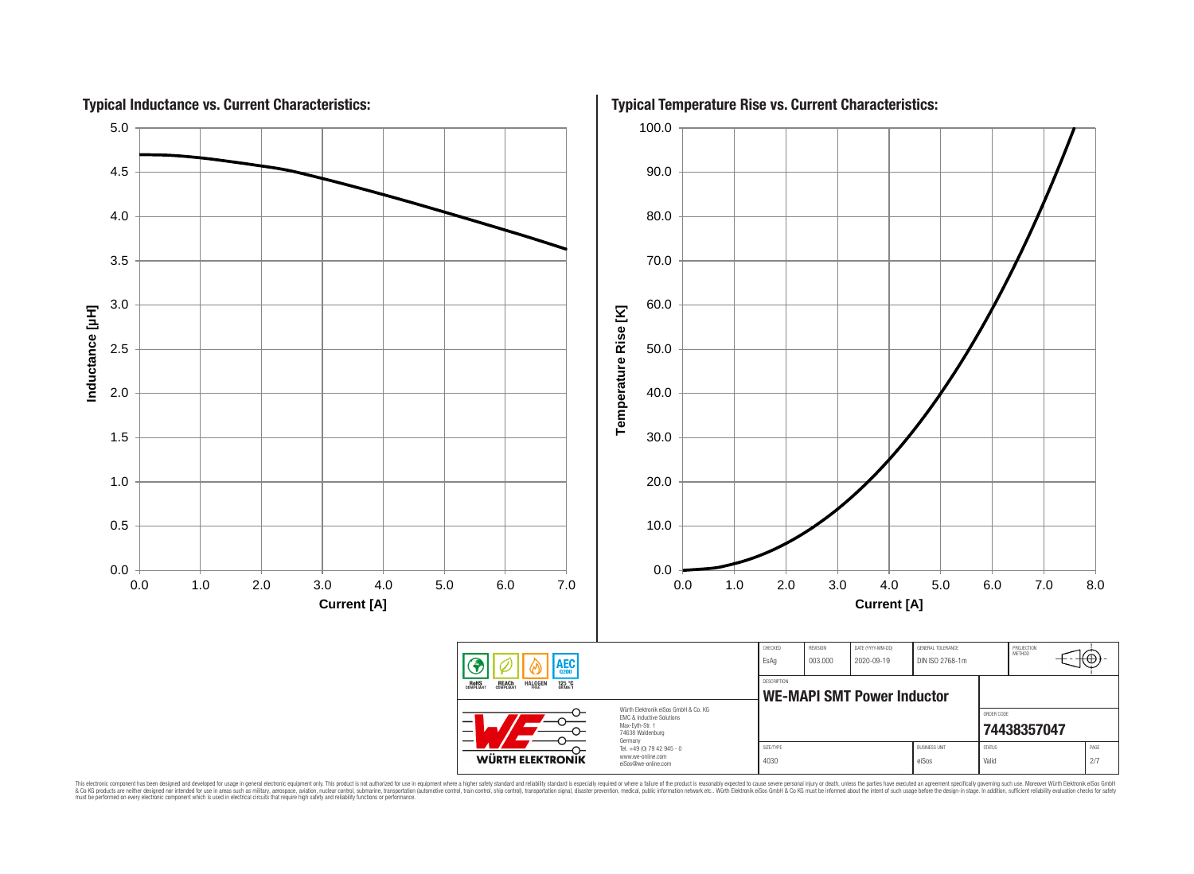

This electronic component has been designed and developed for usage in general electronic equipment only. This product is not authorized for subserved requipment where a higher selection equipment where a higher selection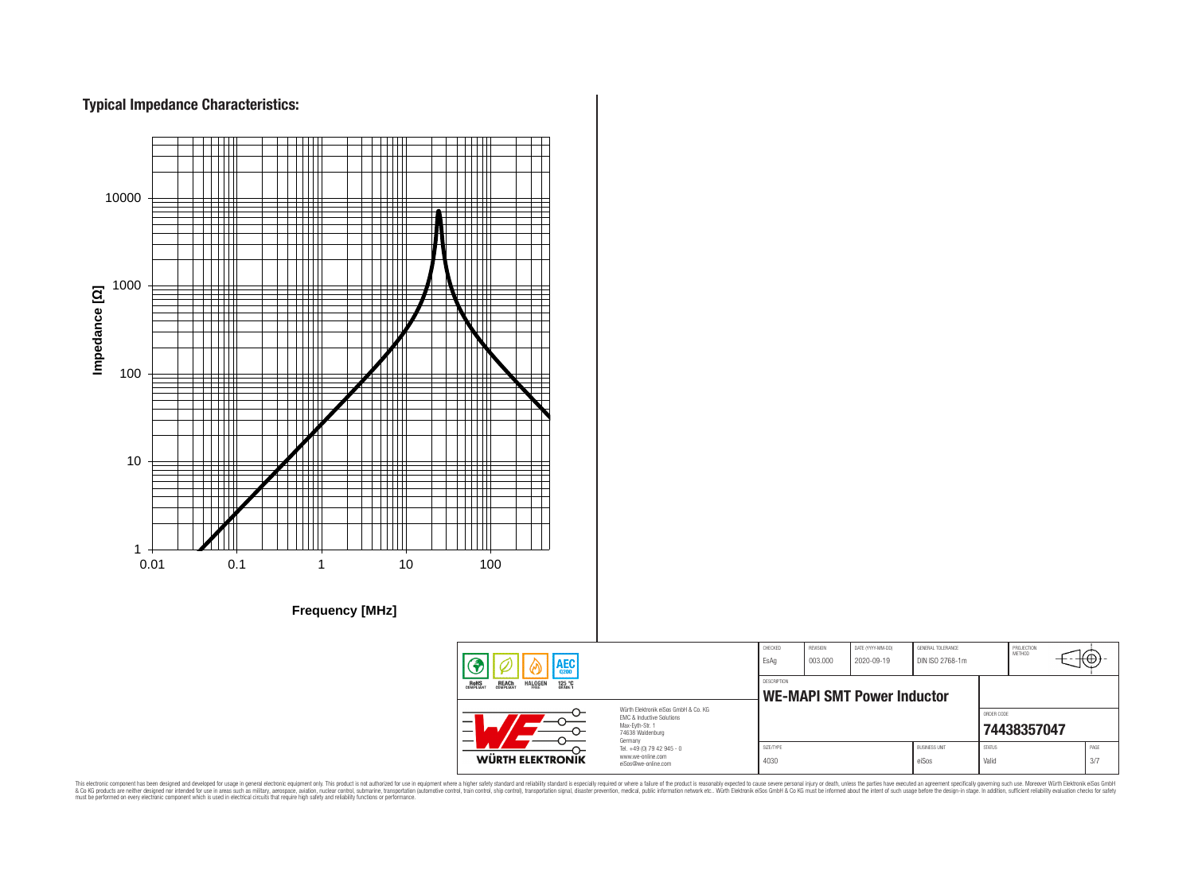# **Typical Impedance Characteristics:**



This electronic component has been designed and developed for usage in general electronic equipment only. This product is not authorized for use in equipment where a higher safely standard and reliability standard si espec & Ook product a label and the membed of the seasuch as marked and as which such a membed and the such assume that income in the seasuch and the simulation and the such assume that include to the such a membed and the such

76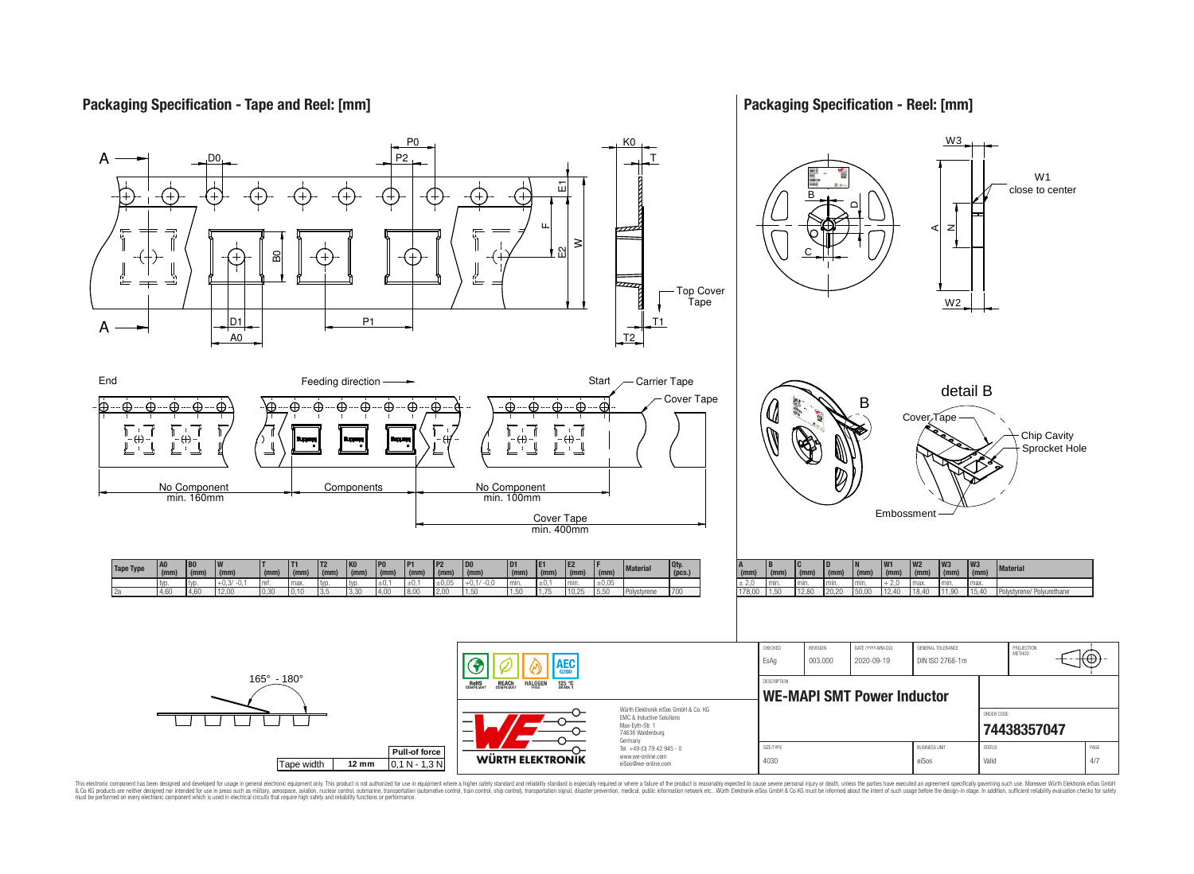## **Packaging Specification - Tape and Reel: [mm]**

## **Packaging Specification - Reel: [mm]**



This electronic component has been designed and developed for usage in general electronic equipment only. This product is not authorized for subserved requipment where a higher selection equipment where a higher selection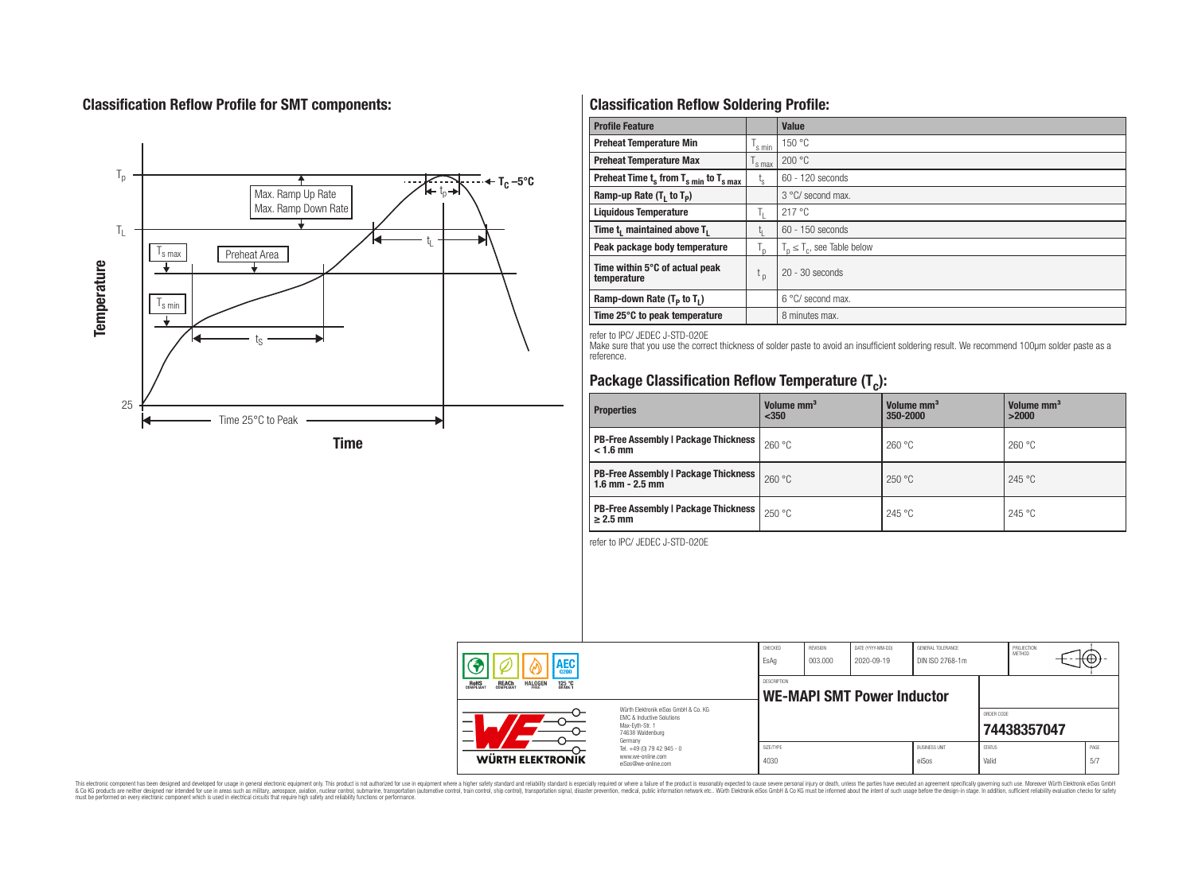# **Classification Reflow Profile for SMT components:**



# **Classification Reflow Soldering Profile:**

| <b>Profile Feature</b>                             |                    | <b>Value</b>                     |
|----------------------------------------------------|--------------------|----------------------------------|
| <b>Preheat Temperature Min</b>                     | <sup>I</sup> s min | 150 °C                           |
| <b>Preheat Temperature Max</b>                     | <sup>I</sup> s max | 200 °C                           |
| Preheat Time $t_s$ from $T_{s min}$ to $T_{s max}$ | $t_{\rm s}$        | $60 - 120$ seconds               |
| Ramp-up Rate $(T_1$ to $T_p$ )                     |                    | 3 °C/ second max.                |
| <b>Liquidous Temperature</b>                       | Ь.                 | 217 °C                           |
| Time $t_i$ maintained above $T_i$                  | կ                  | $60 - 150$ seconds               |
| Peak package body temperature                      | l n                | $T_p \leq T_c$ , see Table below |
| Time within 5°C of actual peak<br>temperature      | $t_{p}$            | $20 - 30$ seconds                |
| Ramp-down Rate $(T_p$ to $T_1$ )                   |                    | $6^{\circ}$ C/ second max.       |
| Time 25°C to peak temperature                      |                    | 8 minutes max.                   |

refer to IPC/ JEDEC J-STD-020E

Make sure that you use the correct thickness of solder paste to avoid an insufficient soldering result. We recommend 100µm solder paste as a reference.

# **Package Classification Reflow Temperature (T<sup>c</sup> ):**

| <b>Properties</b>                                                    | Volume mm <sup>3</sup><br>$350$ | Volume mm <sup>3</sup><br>350-2000 | Volume mm <sup>3</sup><br>>2000 |  |
|----------------------------------------------------------------------|---------------------------------|------------------------------------|---------------------------------|--|
| <b>PB-Free Assembly   Package Thickness  </b><br>$< 1.6$ mm          | 260 °C                          | 260 °C                             | 260 °C                          |  |
| <b>PB-Free Assembly   Package Thickness  </b><br>$1.6$ mm $- 2.5$ mm | 260 °C                          | 250 °C                             | 245 °C                          |  |
| <b>PB-Free Assembly   Package Thickness  </b><br>$\geq$ 2.5 mm       | 250 °C                          | 245 °C                             | 245 °C                          |  |

refer to IPC/ JEDEC J-STD-020E

| AEC                                                                                          |                                                                                                                     | CHECKED<br>EsAq                                  | <b>REVISION</b><br>003.000 | DATE (YYYY-MM-DD)<br>2020-09-19 | GENERAL TOLERANCE<br>DIN ISO 2768-1m |                        | PROJECTION<br>METHOD |             |
|----------------------------------------------------------------------------------------------|---------------------------------------------------------------------------------------------------------------------|--------------------------------------------------|----------------------------|---------------------------------|--------------------------------------|------------------------|----------------------|-------------|
| <b>REACH</b><br>COMPLIANT<br><b>HALOGEN</b><br><b>ROHS</b><br>COMPLIANT<br>125 °C<br>Grade 1 |                                                                                                                     | DESCRIPTION<br><b>WE-MAPI SMT Power Inductor</b> |                            |                                 |                                      |                        |                      |             |
|                                                                                              | Würth Flektronik eiSos GmbH & Co. KG<br>FMC & Inductive Solutions<br>Max-Eyth-Str. 1<br>74638 Waldenburg<br>Germany |                                                  |                            |                                 |                                      | ORDER CODE             | 74438357047          |             |
| WÜRTH ELEKTRONIK                                                                             | Tel. +49 (0) 79 42 945 - 0<br>www.we-online.com<br>eiSos@we-online.com                                              | SIZE/TYPE<br>4030                                |                            |                                 | <b>BUSINESS UNIT</b><br>eiSos        | <b>STATUS</b><br>Valid |                      | PAGE<br>5/7 |

This electronic component has been designed and developed for usage in general electronic equipment only. This product is not authorized for subserved requipment where a higher selection equipment where a higher selection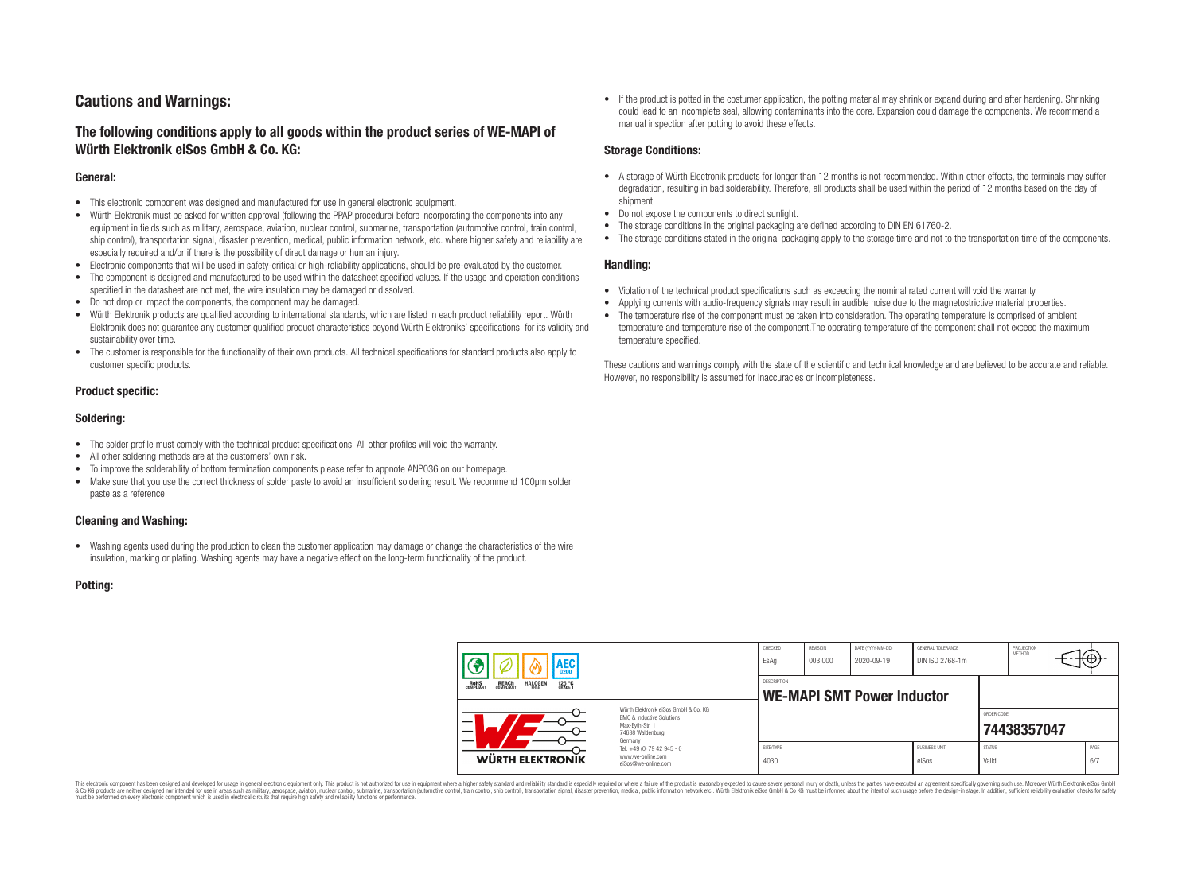## **Cautions and Warnings:**

## **The following conditions apply to all goods within the product series of WE-MAPI of Würth Elektronik eiSos GmbH & Co. KG:**

#### **General:**

- This electronic component was designed and manufactured for use in general electronic equipment.
- Würth Elektronik must be asked for written approval (following the PPAP procedure) before incorporating the components into any equipment in fields such as military, aerospace, aviation, nuclear control, submarine, transportation (automotive control, train control, ship control), transportation signal, disaster prevention, medical, public information network, etc. where higher safety and reliability are especially required and/or if there is the possibility of direct damage or human injury.
- Electronic components that will be used in safety-critical or high-reliability applications, should be pre-evaluated by the customer.
- The component is designed and manufactured to be used within the datasheet specified values. If the usage and operation conditions specified in the datasheet are not met, the wire insulation may be damaged or dissolved.
- Do not drop or impact the components, the component may be damaged.
- Würth Elektronik products are qualified according to international standards, which are listed in each product reliability report. Würth Elektronik does not guarantee any customer qualified product characteristics beyond Würth Elektroniks' specifications, for its validity and sustainability over time.
- The customer is responsible for the functionality of their own products. All technical specifications for standard products also apply to customer specific products.

#### **Product specific:**

#### **Soldering:**

- The solder profile must comply with the technical product specifications. All other profiles will void the warranty.
- All other soldering methods are at the customers' own risk.
- To improve the solderability of bottom termination components please refer to appnote ANP036 on our homepage.
- Make sure that you use the correct thickness of solder paste to avoid an insufficient soldering result. We recommend 100µm solder paste as a reference.

#### **Cleaning and Washing:**

• Washing agents used during the production to clean the customer application may damage or change the characteristics of the wire insulation, marking or plating. Washing agents may have a negative effect on the long-term functionality of the product.

#### **Potting:**

• If the product is potted in the costumer application, the potting material may shrink or expand during and after hardening. Shrinking could lead to an incomplete seal, allowing contaminants into the core. Expansion could damage the components. We recommend a manual inspection after potting to avoid these effects.

#### **Storage Conditions:**

- A storage of Würth Electronik products for longer than 12 months is not recommended. Within other effects, the terminals may suffer degradation, resulting in bad solderability. Therefore, all products shall be used within the period of 12 months based on the day of shipment.
- Do not expose the components to direct sunlight.
- The storage conditions in the original packaging are defined according to DIN EN 61760-2.
- The storage conditions stated in the original packaging apply to the storage time and not to the transportation time of the components.

#### **Handling:**

- Violation of the technical product specifications such as exceeding the nominal rated current will void the warranty.
- Applying currents with audio-frequency signals may result in audible noise due to the magnetostrictive material properties.
- The temperature rise of the component must be taken into consideration. The operating temperature is comprised of ambient temperature and temperature rise of the component.The operating temperature of the component shall not exceed the maximum temperature specified.

These cautions and warnings comply with the state of the scientific and technical knowledge and are believed to be accurate and reliable. However, no responsibility is assumed for inaccuracies or incompleteness.

| AEC                                                                                          |                                                                                                                                                                                               | CHECKED<br>EsAq                                         | <b>REVISION</b><br>003.000 | DATE (YYYY-MM-DD)<br>2020-09-19 | GENERAL TOLERANCE<br>DIN ISO 2768-1m |                        | PROJECTION<br>METHOD |             |
|----------------------------------------------------------------------------------------------|-----------------------------------------------------------------------------------------------------------------------------------------------------------------------------------------------|---------------------------------------------------------|----------------------------|---------------------------------|--------------------------------------|------------------------|----------------------|-------------|
| <b>ROHS</b><br>COMPLIANT<br><b>HALOGEN</b><br>125 °C<br>GRADE 1<br><b>REACH</b><br>COMPLIANT |                                                                                                                                                                                               | <b>DESCRIPTION</b><br><b>WE-MAPI SMT Power Inductor</b> |                            |                                 |                                      |                        |                      |             |
| WÜRTH ELEKTRONIK                                                                             | Würth Flektronik eiSos GmbH & Co. KG<br>FMC & Inductive Solutions<br>Max-Eyth-Str. 1<br>74638 Waldenburg<br>Germany<br>Tel. +49 (0) 79 42 945 - 0<br>www.we-online.com<br>eiSos@we-online.com |                                                         |                            |                                 |                                      | ORDER CODE             | 74438357047          |             |
|                                                                                              |                                                                                                                                                                                               | SIZE/TYPE<br>4030                                       |                            |                                 | <b>BUSINESS UNIT</b><br>eiSos        | <b>STATUS</b><br>Valid |                      | PAGE<br>6/7 |

This electronic component has been designed and developed for usage in general electronic equipment only. This product is not authorized for use in equipment where a higher safety standard and reliability standard si espec & Ook product a label and the membed of the seasuch as marked and as which such a membed and the such assume that income in the seasuch and the simulation and the such assume that include to the such a membed and the such